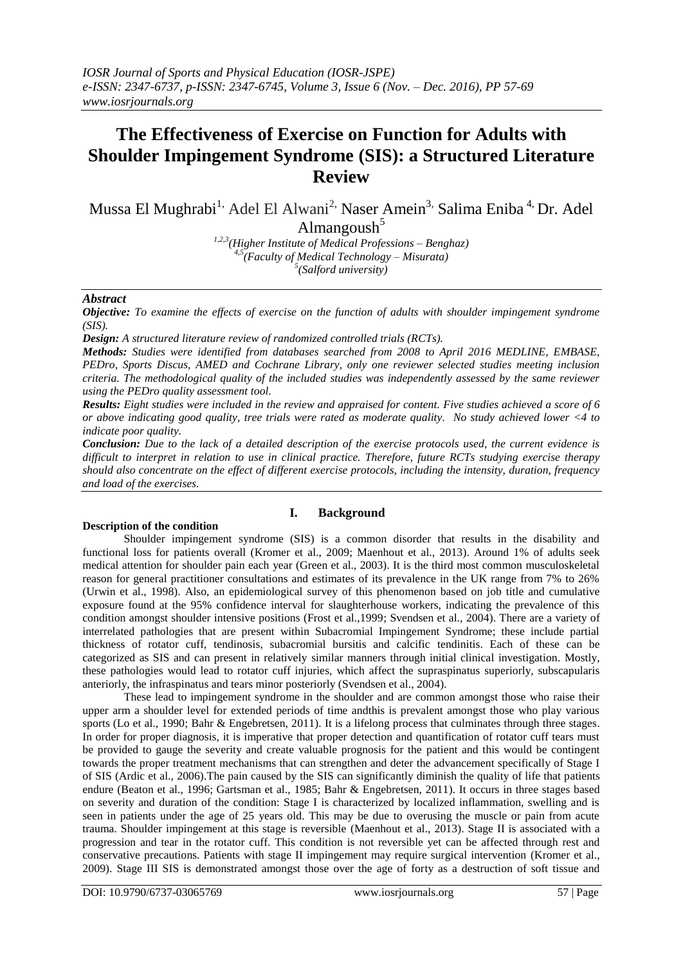# **The Effectiveness of Exercise on Function for Adults with Shoulder Impingement Syndrome (SIS): a Structured Literature Review**

Mussa El Mughrabi<sup>1,</sup> Adel El Alwani<sup>2,</sup> Naser Amein<sup>3,</sup> Salima Eniba<sup>4,</sup> Dr. Adel Almangoush $5$ 

*1,2,3(Higher Institute of Medical Professions – Benghaz) 4,5(Faculty of Medical Technology – Misurata) 5 (Salford university)*

#### *Abstract*

*Objective: To examine the effects of exercise on the function of adults with shoulder impingement syndrome (SIS).*

*Design: A structured literature review of randomized controlled trials (RCTs).*

*Methods: Studies were identified from databases searched from 2008 to April 2016 MEDLINE, EMBASE, PEDro, Sports Discus, AMED and Cochrane Library, only one reviewer selected studies meeting inclusion criteria. The methodological quality of the included studies was independently assessed by the same reviewer using the PEDro quality assessment tool.*

*Results: Eight studies were included in the review and appraised for content. Five studies achieved a score of 6 or above indicating good quality, tree trials were rated as moderate quality. No study achieved lower <4 to indicate poor quality.* 

*Conclusion: Due to the lack of a detailed description of the exercise protocols used, the current evidence is difficult to interpret in relation to use in clinical practice. Therefore, future RCTs studying exercise therapy should also concentrate on the effect of different exercise protocols, including the intensity, duration, frequency and load of the exercises.*

## **Description of the condition**

## **I. Background**

Shoulder impingement syndrome (SIS) is a common disorder that results in the disability and functional loss for patients overall (Kromer et al., 2009; Maenhout et al., 2013). Around 1% of adults seek medical attention for shoulder pain each year (Green et al., 2003). It is the third most common musculoskeletal reason for general practitioner consultations and estimates of its prevalence in the UK range from 7% to 26% (Urwin et al., 1998). Also, an epidemiological survey of this phenomenon based on job title and cumulative exposure found at the 95% confidence interval for slaughterhouse workers, indicating the prevalence of this condition amongst shoulder intensive positions (Frost et al.,1999; Svendsen et al., 2004). There are a variety of interrelated pathologies that are present within Subacromial Impingement Syndrome; these include partial thickness of rotator cuff, tendinosis, subacromial bursitis and calcific tendinitis. Each of these can be categorized as SIS and can present in relatively similar manners through initial clinical investigation. Mostly, these pathologies would lead to rotator cuff injuries, which affect the supraspinatus superiorly, subscapularis anteriorly, the infraspinatus and tears minor posteriorly (Svendsen et al., 2004).

These lead to impingement syndrome in the shoulder and are common amongst those who raise their upper arm a shoulder level for extended periods of time andthis is prevalent amongst those who play various sports (Lo et al., 1990; Bahr & Engebretsen, 2011). It is a lifelong process that culminates through three stages. In order for proper diagnosis, it is imperative that proper detection and quantification of rotator cuff tears must be provided to gauge the severity and create valuable prognosis for the patient and this would be contingent towards the proper treatment mechanisms that can strengthen and deter the advancement specifically of Stage I of SIS (Ardic et al., 2006).The pain caused by the SIS can significantly diminish the quality of life that patients endure (Beaton et al., 1996; Gartsman et al., 1985; Bahr & Engebretsen, 2011). It occurs in three stages based on severity and duration of the condition: Stage I is characterized by localized inflammation, swelling and is seen in patients under the age of 25 years old. This may be due to overusing the muscle or pain from acute trauma. Shoulder impingement at this stage is reversible (Maenhout et al., 2013). Stage II is associated with a progression and tear in the rotator cuff. This condition is not reversible yet can be affected through rest and conservative precautions. Patients with stage II impingement may require surgical intervention (Kromer et al., 2009). Stage III SIS is demonstrated amongst those over the age of forty as a destruction of soft tissue and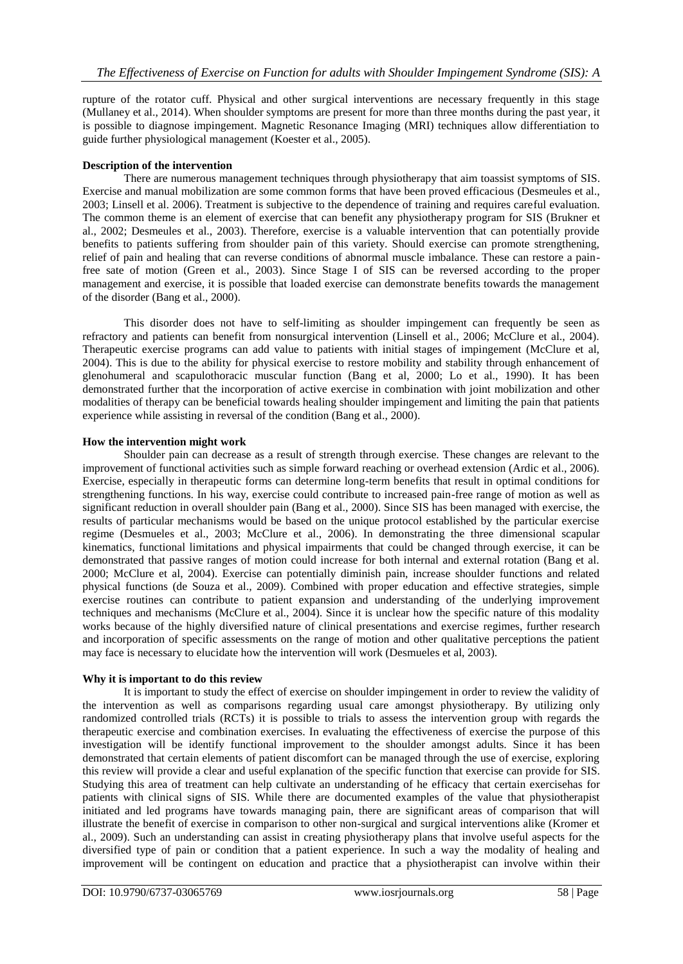rupture of the rotator cuff. Physical and other surgical interventions are necessary frequently in this stage (Mullaney et al., 2014). When shoulder symptoms are present for more than three months during the past year, it is possible to diagnose impingement. Magnetic Resonance Imaging (MRI) techniques allow differentiation to guide further physiological management (Koester et al., 2005).

## **Description of the intervention**

There are numerous management techniques through physiotherapy that aim toassist symptoms of SIS. Exercise and manual mobilization are some common forms that have been proved efficacious (Desmeules et al., 2003; Linsell et al. 2006). Treatment is subjective to the dependence of training and requires careful evaluation. The common theme is an element of exercise that can benefit any physiotherapy program for SIS (Brukner et al., 2002; Desmeules et al., 2003). Therefore, exercise is a valuable intervention that can potentially provide benefits to patients suffering from shoulder pain of this variety. Should exercise can promote strengthening, relief of pain and healing that can reverse conditions of abnormal muscle imbalance. These can restore a painfree sate of motion (Green et al., 2003). Since Stage I of SIS can be reversed according to the proper management and exercise, it is possible that loaded exercise can demonstrate benefits towards the management of the disorder (Bang et al., 2000).

This disorder does not have to self-limiting as shoulder impingement can frequently be seen as refractory and patients can benefit from nonsurgical intervention (Linsell et al., 2006; McClure et al., 2004). Therapeutic exercise programs can add value to patients with initial stages of impingement (McClure et al, 2004). This is due to the ability for physical exercise to restore mobility and stability through enhancement of glenohumeral and scapulothoracic muscular function (Bang et al, 2000; Lo et al., 1990). It has been demonstrated further that the incorporation of active exercise in combination with joint mobilization and other modalities of therapy can be beneficial towards healing shoulder impingement and limiting the pain that patients experience while assisting in reversal of the condition (Bang et al., 2000).

## **How the intervention might work**

Shoulder pain can decrease as a result of strength through exercise. These changes are relevant to the improvement of functional activities such as simple forward reaching or overhead extension (Ardic et al., 2006). Exercise, especially in therapeutic forms can determine long-term benefits that result in optimal conditions for strengthening functions. In his way, exercise could contribute to increased pain-free range of motion as well as significant reduction in overall shoulder pain (Bang et al., 2000). Since SIS has been managed with exercise, the results of particular mechanisms would be based on the unique protocol established by the particular exercise regime (Desmueles et al., 2003; McClure et al., 2006). In demonstrating the three dimensional scapular kinematics, functional limitations and physical impairments that could be changed through exercise, it can be demonstrated that passive ranges of motion could increase for both internal and external rotation (Bang et al. 2000; McClure et al, 2004). Exercise can potentially diminish pain, increase shoulder functions and related physical functions (de Souza et al., 2009). Combined with proper education and effective strategies, simple exercise routines can contribute to patient expansion and understanding of the underlying improvement techniques and mechanisms (McClure et al., 2004). Since it is unclear how the specific nature of this modality works because of the highly diversified nature of clinical presentations and exercise regimes, further research and incorporation of specific assessments on the range of motion and other qualitative perceptions the patient may face is necessary to elucidate how the intervention will work (Desmueles et al, 2003).

## **Why it is important to do this review**

It is important to study the effect of exercise on shoulder impingement in order to review the validity of the intervention as well as comparisons regarding usual care amongst physiotherapy. By utilizing only randomized controlled trials (RCTs) it is possible to trials to assess the intervention group with regards the therapeutic exercise and combination exercises. In evaluating the effectiveness of exercise the purpose of this investigation will be identify functional improvement to the shoulder amongst adults. Since it has been demonstrated that certain elements of patient discomfort can be managed through the use of exercise, exploring this review will provide a clear and useful explanation of the specific function that exercise can provide for SIS. Studying this area of treatment can help cultivate an understanding of he efficacy that certain exercisehas for patients with clinical signs of SIS. While there are documented examples of the value that physiotherapist initiated and led programs have towards managing pain, there are significant areas of comparison that will illustrate the benefit of exercise in comparison to other non-surgical and surgical interventions alike (Kromer et al., 2009). Such an understanding can assist in creating physiotherapy plans that involve useful aspects for the diversified type of pain or condition that a patient experience. In such a way the modality of healing and improvement will be contingent on education and practice that a physiotherapist can involve within their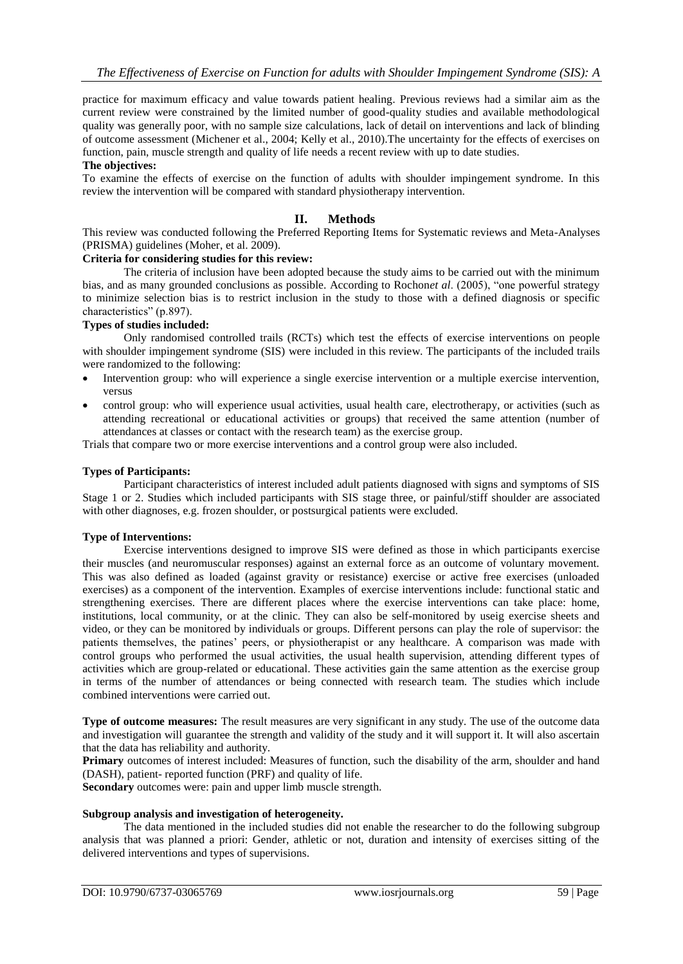practice for maximum efficacy and value towards patient healing. Previous reviews had a similar aim as the current review were constrained by the limited number of good-quality studies and available methodological quality was generally poor, with no sample size calculations, lack of detail on interventions and lack of blinding of outcome assessment (Michener et al., 2004; Kelly et al., 2010).The uncertainty for the effects of exercises on function, pain, muscle strength and quality of life needs a recent review with up to date studies.

## **The objectives:**

To examine the effects of exercise on the function of adults with shoulder impingement syndrome. In this review the intervention will be compared with standard physiotherapy intervention.

## **II. Methods**

This review was conducted following the Preferred Reporting Items for Systematic reviews and Meta-Analyses (PRISMA) guidelines (Moher, et al. 2009).

# **Criteria for considering studies for this review:**

The criteria of inclusion have been adopted because the study aims to be carried out with the minimum bias, and as many grounded conclusions as possible. According to Rochon*et al*. (2005), "one powerful strategy to minimize selection bias is to restrict inclusion in the study to those with a defined diagnosis or specific characteristics" (p.897).

#### **Types of studies included:**

Only randomised controlled trails (RCTs) which test the effects of exercise interventions on people with shoulder impingement syndrome (SIS) were included in this review. The participants of the included trails were randomized to the following:

- Intervention group: who will experience a single exercise intervention or a multiple exercise intervention, versus
- control group: who will experience usual activities, usual health care, electrotherapy, or activities (such as attending recreational or educational activities or groups) that received the same attention (number of attendances at classes or contact with the research team) as the exercise group.

Trials that compare two or more exercise interventions and a control group were also included.

#### **Types of Participants:**

Participant characteristics of interest included adult patients diagnosed with signs and symptoms of SIS Stage 1 or 2. Studies which included participants with SIS stage three, or painful/stiff shoulder are associated with other diagnoses, e.g. frozen shoulder, or postsurgical patients were excluded.

#### **Type of Interventions:**

Exercise interventions designed to improve SIS were defined as those in which participants exercise their muscles (and neuromuscular responses) against an external force as an outcome of voluntary movement. This was also defined as loaded (against gravity or resistance) exercise or active free exercises (unloaded exercises) as a component of the intervention. Examples of exercise interventions include: functional static and strengthening exercises. There are different places where the exercise interventions can take place: home, institutions, local community, or at the clinic. They can also be self-monitored by useig exercise sheets and video, or they can be monitored by individuals or groups. Different persons can play the role of supervisor: the patients themselves, the patines" peers, or physiotherapist or any healthcare. A comparison was made with control groups who performed the usual activities, the usual health supervision, attending different types of activities which are group-related or educational. These activities gain the same attention as the exercise group in terms of the number of attendances or being connected with research team. The studies which include combined interventions were carried out.

**Type of outcome measures:** The result measures are very significant in any study. The use of the outcome data and investigation will guarantee the strength and validity of the study and it will support it. It will also ascertain that the data has reliability and authority.

**Primary** outcomes of interest included: Measures of function, such the disability of the arm, shoulder and hand (DASH), patient- reported function (PRF) and quality of life.

**Secondary** outcomes were: pain and upper limb muscle strength.

#### **Subgroup analysis and investigation of heterogeneity.**

The data mentioned in the included studies did not enable the researcher to do the following subgroup analysis that was planned a priori: Gender, athletic or not, duration and intensity of exercises sitting of the delivered interventions and types of supervisions.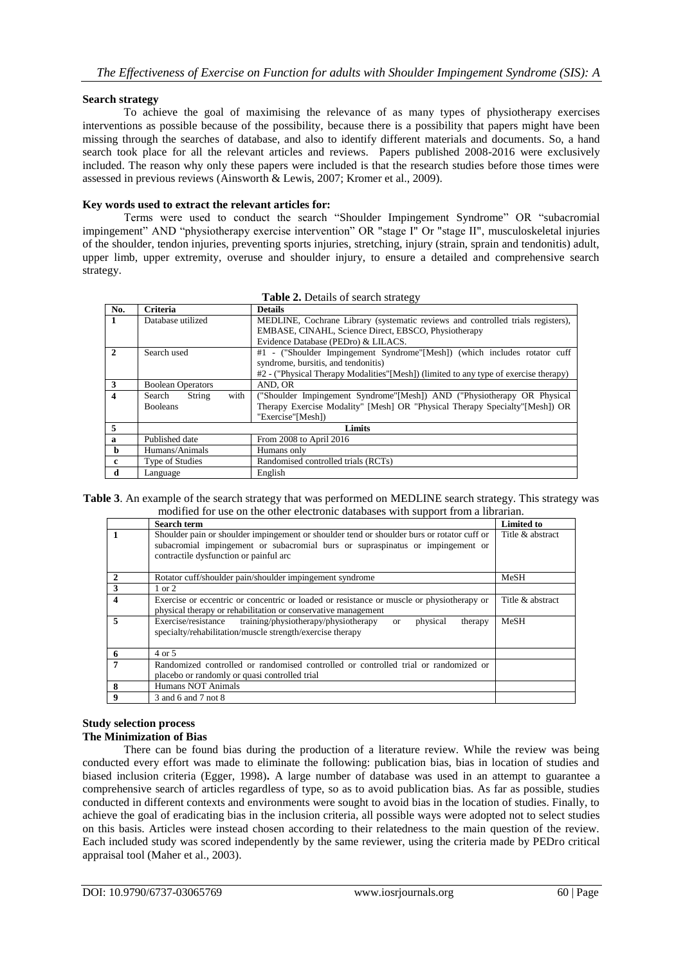## **Search strategy**

To achieve the goal of maximising the relevance of as many types of physiotherapy exercises interventions as possible because of the possibility, because there is a possibility that papers might have been missing through the searches of database, and also to identify different materials and documents. So, a hand search took place for all the relevant articles and reviews. Papers published 2008-2016 were exclusively included. The reason why only these papers were included is that the research studies before those times were assessed in previous reviews (Ainsworth & Lewis, 2007; Kromer et al., 2009).

#### **Key words used to extract the relevant articles for:**

Terms were used to conduct the search "Shoulder Impingement Syndrome" OR "subacromial impingement" AND "physiotherapy exercise intervention" OR "stage I" Or "stage II", musculoskeletal injuries of the shoulder, tendon injuries, preventing sports injuries, stretching, injury (strain, sprain and tendonitis) adult, upper limb, upper extremity, overuse and shoulder injury, to ensure a detailed and comprehensive search strategy.

| <b>Table 2.</b> Details of search strategy |                          |                                                                                       |  |  |  |
|--------------------------------------------|--------------------------|---------------------------------------------------------------------------------------|--|--|--|
| No.                                        | Criteria                 | <b>Details</b>                                                                        |  |  |  |
| 1                                          | Database utilized        | MEDLINE, Cochrane Library (systematic reviews and controlled trials registers),       |  |  |  |
|                                            |                          | EMBASE, CINAHL, Science Direct, EBSCO, Physiotherapy                                  |  |  |  |
|                                            |                          | Evidence Database (PEDro) & LILACS.                                                   |  |  |  |
| $\overline{2}$                             | Search used              | #1 - ("Shoulder Impingement Syndrome"[Mesh]) (which includes rotator cuff             |  |  |  |
|                                            |                          | syndrome, bursitis, and tendonitis)                                                   |  |  |  |
|                                            |                          | #2 - ("Physical Therapy Modalities" [Mesh]) (limited to any type of exercise therapy) |  |  |  |
| 3                                          | <b>Boolean Operators</b> | AND, OR                                                                               |  |  |  |
| 4                                          | String<br>with<br>Search | ("Shoulder Impingement Syndrome"[Mesh]) AND ("Physiotherapy OR Physical               |  |  |  |
|                                            | <b>Booleans</b>          | Therapy Exercise Modality" [Mesh] OR "Physical Therapy Specialty" [Mesh]) OR          |  |  |  |
|                                            |                          | "Exercise"[Mesh])                                                                     |  |  |  |
| 5                                          |                          | Limits                                                                                |  |  |  |
| $\mathbf{a}$                               | Published date           | From 2008 to April 2016                                                               |  |  |  |
| h.                                         | Humans/Animals           | Humans only                                                                           |  |  |  |
| c                                          | Type of Studies          | Randomised controlled trials (RCTs)                                                   |  |  |  |
| d                                          | Language                 | English                                                                               |  |  |  |

|  | Table 2. Details of search strategy |  |
|--|-------------------------------------|--|
|--|-------------------------------------|--|

**Table 3**. An example of the search strategy that was performed on MEDLINE search strategy. This strategy was modified for use on the other electronic databases with support from a librarian.

|                         | <b>Search term</b>                                                                                                                                                                                                     | <b>Limited to</b> |
|-------------------------|------------------------------------------------------------------------------------------------------------------------------------------------------------------------------------------------------------------------|-------------------|
|                         | Shoulder pain or shoulder impingement or shoulder tend or shoulder burs or rotator cuff or<br>subacromial impingement or subacromial burs or supraspinatus or impingement or<br>contractile dysfunction or painful arc | Title & abstract  |
| $\overline{2}$          | Rotator cuff/shoulder pain/shoulder impingement syndrome                                                                                                                                                               | MeSH              |
| $\mathbf{3}$            | $1$ or $2$                                                                                                                                                                                                             |                   |
| $\overline{\mathbf{4}}$ | Exercise or eccentric or concentric or loaded or resistance or muscle or physiotherapy or<br>physical therapy or rehabilitation or conservative management                                                             | Title & abstract  |
| 5                       | Exercise/resistance training/physiotherapy/physiotherapy<br>physical<br>therapy<br><sub>or</sub><br>specialty/rehabilitation/muscle strength/exercise therapy                                                          | MeSH              |
| - 6                     | 4 or 5                                                                                                                                                                                                                 |                   |
| 7                       | Randomized controlled or randomised controlled or controlled trial or randomized or                                                                                                                                    |                   |
|                         | placebo or randomly or quasi controlled trial                                                                                                                                                                          |                   |
| 8                       | Humans NOT Animals                                                                                                                                                                                                     |                   |
| 9                       | 3 and 6 and 7 not 8                                                                                                                                                                                                    |                   |

## **Study selection process The Minimization of Bias**

There can be found bias during the production of a literature review. While the review was being conducted every effort was made to eliminate the following: publication bias, bias in location of studies and biased inclusion criteria (Egger, 1998)**.** A large number of database was used in an attempt to guarantee a comprehensive search of articles regardless of type, so as to avoid publication bias. As far as possible, studies conducted in different contexts and environments were sought to avoid bias in the location of studies. Finally, to achieve the goal of eradicating bias in the inclusion criteria, all possible ways were adopted not to select studies on this basis. Articles were instead chosen according to their relatedness to the main question of the review. Each included study was scored independently by the same reviewer, using the criteria made by PEDro critical appraisal tool (Maher et al., 2003).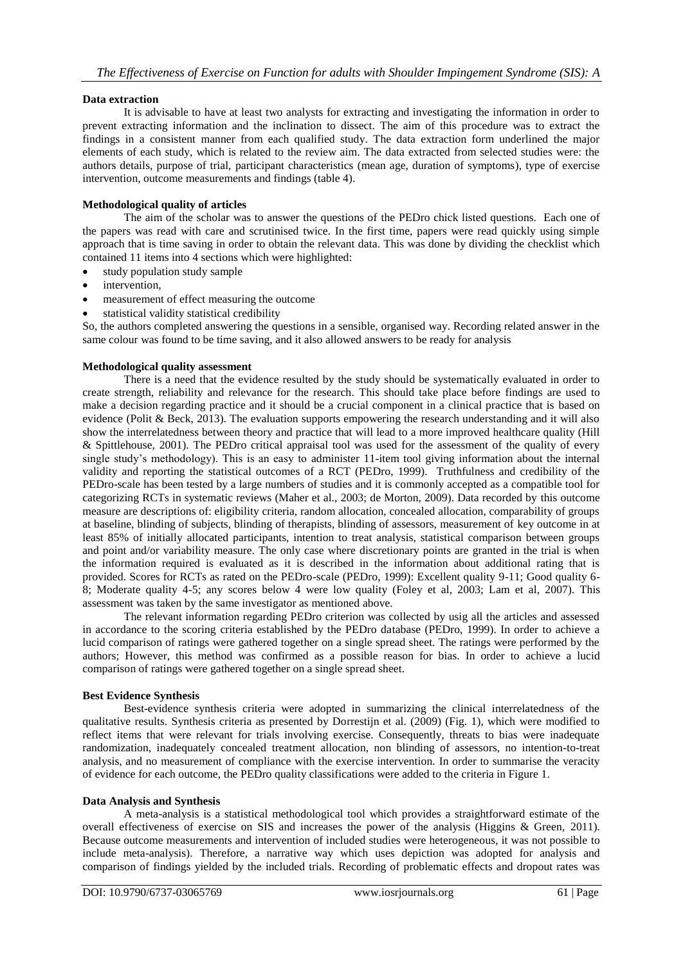## **Data extraction**

It is advisable to have at least two analysts for extracting and investigating the information in order to prevent extracting information and the inclination to dissect. The aim of this procedure was to extract the findings in a consistent manner from each qualified study. The data extraction form underlined the major elements of each study, which is related to the review aim. The data extracted from selected studies were: the authors details, purpose of trial, participant characteristics (mean age, duration of symptoms), type of exercise intervention, outcome measurements and findings (table 4).

## **Methodological quality of articles**

The aim of the scholar was to answer the questions of the PEDro chick listed questions. Each one of the papers was read with care and scrutinised twice. In the first time, papers were read quickly using simple approach that is time saving in order to obtain the relevant data. This was done by dividing the checklist which contained 11 items into 4 sections which were highlighted:

- study population study sample
- intervention,
- measurement of effect measuring the outcome
- statistical validity statistical credibility

So, the authors completed answering the questions in a sensible, organised way. Recording related answer in the same colour was found to be time saving, and it also allowed answers to be ready for analysis

#### **Methodological quality assessment**

There is a need that the evidence resulted by the study should be systematically evaluated in order to create strength, reliability and relevance for the research. This should take place before findings are used to make a decision regarding practice and it should be a crucial component in a clinical practice that is based on evidence (Polit & Beck, 2013). The evaluation supports empowering the research understanding and it will also show the interrelatedness between theory and practice that will lead to a more improved healthcare quality (Hill & Spittlehouse, 2001). The PEDro critical appraisal tool was used for the assessment of the quality of every single study"s methodology). This is an easy to administer 11-item tool giving information about the internal validity and reporting the statistical outcomes of a RCT (PEDro, 1999). Truthfulness and credibility of the PEDro-scale has been tested by a large numbers of studies and it is commonly accepted as a compatible tool for categorizing RCTs in systematic reviews (Maher et al., 2003; de Morton, 2009). Data recorded by this outcome measure are descriptions of: eligibility criteria, random allocation, concealed allocation, comparability of groups at baseline, blinding of subjects, blinding of therapists, blinding of assessors, measurement of key outcome in at least 85% of initially allocated participants, intention to treat analysis, statistical comparison between groups and point and/or variability measure. The only case where discretionary points are granted in the trial is when the information required is evaluated as it is described in the information about additional rating that is provided. Scores for RCTs as rated on the PEDro-scale (PEDro, 1999): Excellent quality 9-11; Good quality 6- 8; Moderate quality 4-5; any scores below 4 were low quality (Foley et al, 2003; Lam et al, 2007). This assessment was taken by the same investigator as mentioned above.

The relevant information regarding PEDro criterion was collected by usig all the articles and assessed in accordance to the scoring criteria established by the PEDro database (PEDro, 1999). In order to achieve a lucid comparison of ratings were gathered together on a single spread sheet. The ratings were performed by the authors; However, this method was confirmed as a possible reason for bias. In order to achieve a lucid comparison of ratings were gathered together on a single spread sheet.

#### **Best Evidence Synthesis**

Best-evidence synthesis criteria were adopted in summarizing the clinical interrelatedness of the qualitative results. Synthesis criteria as presented by Dorrestijn et al. (2009) (Fig. 1), which were modified to reflect items that were relevant for trials involving exercise. Consequently, threats to bias were inadequate randomization, inadequately concealed treatment allocation, non blinding of assessors, no intention-to-treat analysis, and no measurement of compliance with the exercise intervention. In order to summarise the veracity of evidence for each outcome, the PEDro quality classifications were added to the criteria in Figure 1.

#### **Data Analysis and Synthesis**

A meta-analysis is a statistical methodological tool which provides a straightforward estimate of the overall effectiveness of exercise on SIS and increases the power of the analysis (Higgins & Green, 2011). Because outcome measurements and intervention of included studies were heterogeneous, it was not possible to include meta-analysis). Therefore, a narrative way which uses depiction was adopted for analysis and comparison of findings yielded by the included trials. Recording of problematic effects and dropout rates was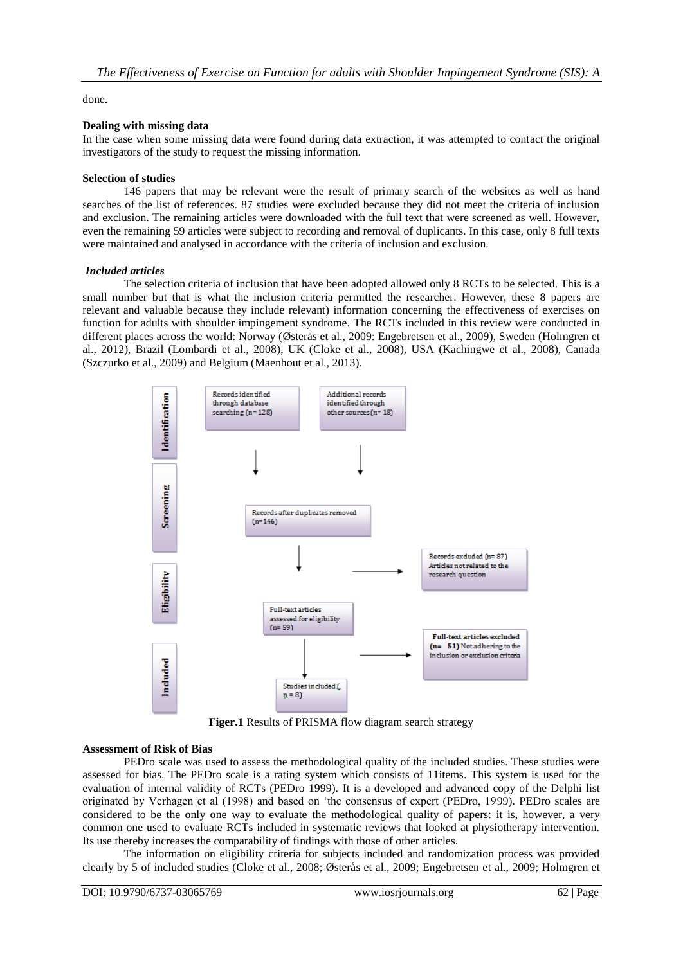#### done.

#### **Dealing with missing data**

In the case when some missing data were found during data extraction, it was attempted to contact the original investigators of the study to request the missing information.

#### **Selection of studies**

146 papers that may be relevant were the result of primary search of the websites as well as hand searches of the list of references. 87 studies were excluded because they did not meet the criteria of inclusion and exclusion. The remaining articles were downloaded with the full text that were screened as well. However, even the remaining 59 articles were subject to recording and removal of duplicants. In this case, only 8 full texts were maintained and analysed in accordance with the criteria of inclusion and exclusion.

## *Included articles*

The selection criteria of inclusion that have been adopted allowed only 8 RCTs to be selected. This is a small number but that is what the inclusion criteria permitted the researcher. However, these 8 papers are relevant and valuable because they include relevant) information concerning the effectiveness of exercises on function for adults with shoulder impingement syndrome. The RCTs included in this review were conducted in different places across the world: Norway (Østerås et al., 2009: Engebretsen et al., 2009), Sweden (Holmgren et al., 2012), Brazil (Lombardi et al., 2008), UK (Cloke et al., 2008), USA (Kachingwe et al., 2008), Canada (Szczurko et al., 2009) and Belgium (Maenhout et al., 2013).



**Figer.1** Results of PRISMA flow diagram search strategy

## **Assessment of Risk of Bias**

PEDro scale was used to assess the methodological quality of the included studies. These studies were assessed for bias. The PEDro scale is a rating system which consists of 11items. This system is used for the evaluation of internal validity of RCTs (PEDro 1999). It is a developed and advanced copy of the Delphi list originated by Verhagen et al (1998) and based on "the consensus of expert (PEDro, 1999). PEDro scales are considered to be the only one way to evaluate the methodological quality of papers: it is, however, a very common one used to evaluate RCTs included in systematic reviews that looked at physiotherapy intervention. Its use thereby increases the comparability of findings with those of other articles.

The information on eligibility criteria for subjects included and randomization process was provided clearly by 5 of included studies (Cloke et al., 2008; Østerås et al., 2009; Engebretsen et al., 2009; Holmgren et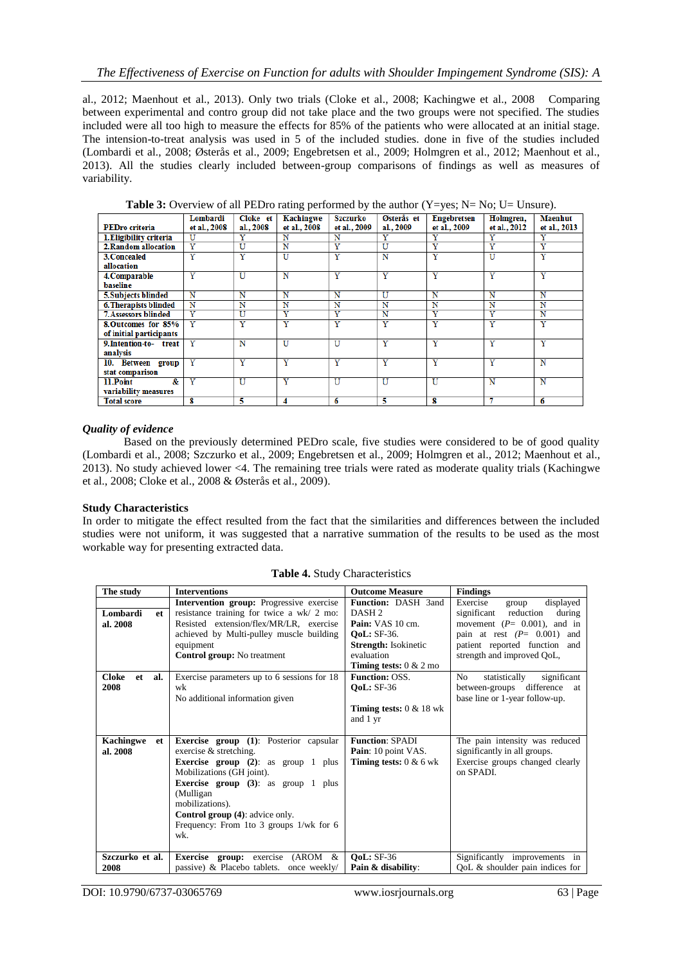al., 2012; Maenhout et al., 2013). Only two trials (Cloke et al., 2008; Kachingwe et al., 2008 Comparing between experimental and contro group did not take place and the two groups were not specified. The studies included were all too high to measure the effects for 85% of the patients who were allocated at an initial stage. The intension-to-treat analysis was used in 5 of the included studies. done in five of the studies included (Lombardi et al., 2008; Østerås et al., 2009; Engebretsen et al., 2009; Holmgren et al., 2012; Maenhout et al., 2013). All the studies clearly included between-group comparisons of findings as well as measures of variability.

|                                    | Lombardi                | Cloke et  | Kachingwe             | Szczurko                | Østerås et              | <b>Engebretsen</b>      | Holmgren,             | <b>Maenhut</b>          |
|------------------------------------|-------------------------|-----------|-----------------------|-------------------------|-------------------------|-------------------------|-----------------------|-------------------------|
| <b>PEDro criteria</b>              | et al., 2008            | al., 2008 | et al., 2008          | et al., 2009            | al., 2009               | et al., 2009            | et al., 2012          | et al., 2013            |
| 1. Eligibility criteria            | U                       |           | N                     | N                       | Y                       | Y                       | Y                     | Y                       |
| 2. Random allocation               | $\overline{\text{Y}}$   | U         | N                     | Ÿ                       | U                       | Ÿ                       | Y                     | Y                       |
| 3. Concealed                       | Y                       | Y         | U                     | Y                       | Ñ                       | $\overline{\text{Y}}$   | U                     | Y                       |
| allocation                         |                         |           |                       |                         |                         |                         |                       |                         |
| 4. Comparable                      | Ÿ                       | U         | N                     | $\overline{\mathbf{Y}}$ | Y                       | Ÿ                       | Y                     | Y                       |
| <b>baseline</b>                    |                         |           |                       |                         |                         |                         |                       |                         |
| 5. Subjects blinded                | N                       | N         | N                     | N                       | U                       | N                       | N                     | N                       |
| <b>6. Therapists blinded</b>       | N                       | N         | N                     | N                       | N                       | N                       | N                     | N                       |
| <b>7. Assessors blinded</b>        | $\overline{\mathbf{Y}}$ | Ū         | $\overline{\text{Y}}$ | Ÿ                       | Ñ                       | Ÿ                       | Y                     | Ñ                       |
| 8. Outcomes for 85%                | v                       | Ÿ         | v                     | Ÿ                       | Y                       | $\overline{\text{Y}}$   | Ÿ                     | Y                       |
| of initial participants            |                         |           |                       |                         |                         |                         |                       |                         |
| 9. Intention-to- treat<br>analysis | $\overline{\text{Y}}$   | N         | U                     | $\overline{\mathbf{U}}$ | Ÿ                       | $\overline{\text{Y}}$   | $\overline{\text{Y}}$ | $\overline{\text{Y}}$   |
| 10. Between group                  | Ÿ                       | Ÿ         | Ÿ                     | $\overline{\mathbf{Y}}$ | Y                       | $\overline{\mathbf{Y}}$ | Y                     | N                       |
| stat comparison                    |                         |           |                       |                         |                         |                         |                       |                         |
| &<br>11.Point                      | $\overline{\text{Y}}$   | U         | $\overline{\text{Y}}$ | $\overline{\mathbf{U}}$ | $\overline{\mathtt{U}}$ | U                       | N                     | $\overline{\mathbf{N}}$ |
| variability measures               |                         |           |                       |                         |                         |                         |                       |                         |
| <b>Total score</b>                 | 8                       | 5         | 4                     | 6                       | 5                       | 8                       | π                     | 6                       |

**Table 3:** Overview of all PEDro rating performed by the author (Y=yes; N= No; U= Unsure).

## *Quality of evidence*

Based on the previously determined PEDro scale, five studies were considered to be of good quality (Lombardi et al., 2008; Szczurko et al., 2009; Engebretsen et al., 2009; Holmgren et al., 2012; Maenhout et al., 2013). No study achieved lower <4. The remaining tree trials were rated as moderate quality trials (Kachingwe et al., 2008; Cloke et al., 2008 & Østerås et al., 2009).

#### **Study Characteristics**

In order to mitigate the effect resulted from the fact that the similarities and differences between the included studies were not uniform, it was suggested that a narrative summation of the results to be used as the most workable way for presenting extracted data.

| The study              | <b>Interventions</b>                            | <b>Outcome Measure</b>             | <b>Findings</b>                              |
|------------------------|-------------------------------------------------|------------------------------------|----------------------------------------------|
|                        | Intervention group: Progressive exercise        | <b>Function: DASH 3and</b>         | Exercise<br>displayed<br>group               |
| Lombardi<br>et         | resistance training for twice a wk/ 2 mo:       | DASH <sub>2</sub>                  | significant<br>reduction<br>during           |
| al. 2008               | Resisted extension/flex/MR/LR, exercise         | Pain: VAS 10 cm.                   | movement $(P= 0.001)$ , and in               |
|                        | achieved by Multi-pulley muscle building        | <b>OoL:</b> SF-36.                 | pain at rest $(P= 0.001)$ and                |
|                        | equipment                                       | <b>Strength:</b> Isokinetic        | patient reported function and                |
|                        | Control group: No treatment                     | evaluation                         | strength and improved QoL,                   |
|                        |                                                 | <b>Timing tests:</b> $0 < 2$ mo    |                                              |
| Cloke<br>et<br>al.     | Exercise parameters up to 6 sessions for 18     | <b>Function: OSS.</b>              | significant<br>No.<br>statistically          |
| 2008                   | wk                                              | <b>OoL: SF-36</b>                  | difference<br>between-groups<br>at           |
|                        | No additional information given                 |                                    | base line or 1-year follow-up.               |
|                        |                                                 | <b>Timing tests:</b> $0 < 18$ wk   |                                              |
|                        |                                                 | and 1 yr                           |                                              |
|                        |                                                 |                                    |                                              |
| <b>Kachingwe</b><br>et | <b>Exercise group</b> (1): Posterior capsular   | <b>Function: SPADI</b>             | The pain intensity was reduced               |
| al. 2008               | exercise $&$ stretching.                        | Pain: 10 point VAS.                | significantly in all groups.                 |
|                        | <b>Exercise</b> group $(2)$ : as group 1 plus   | <b>Timing tests:</b> $0 & 6 \le k$ | Exercise groups changed clearly              |
|                        | Mobilizations (GH joint).                       |                                    | on SPADI.                                    |
|                        | <b>Exercise group</b> $(3)$ : as group 1 plus   |                                    |                                              |
|                        | (Mulligan)                                      |                                    |                                              |
|                        | mobilizations).                                 |                                    |                                              |
|                        | <b>Control group (4):</b> advice only.          |                                    |                                              |
|                        | Frequency: From 1 to 3 groups $1/wk$ for 6      |                                    |                                              |
|                        | wk.                                             |                                    |                                              |
|                        |                                                 |                                    |                                              |
| Szczurko et al.        | <b>Exercise</b> group: exercise<br>$(AROM \& )$ | <b>OoL: SF-36</b>                  | Significantly improvements in                |
| 2008                   | passive) & Placebo tablets. once weekly/        | Pain & disability:                 | $\overline{QoL}$ & shoulder pain indices for |

**Table 4.** Study Characteristics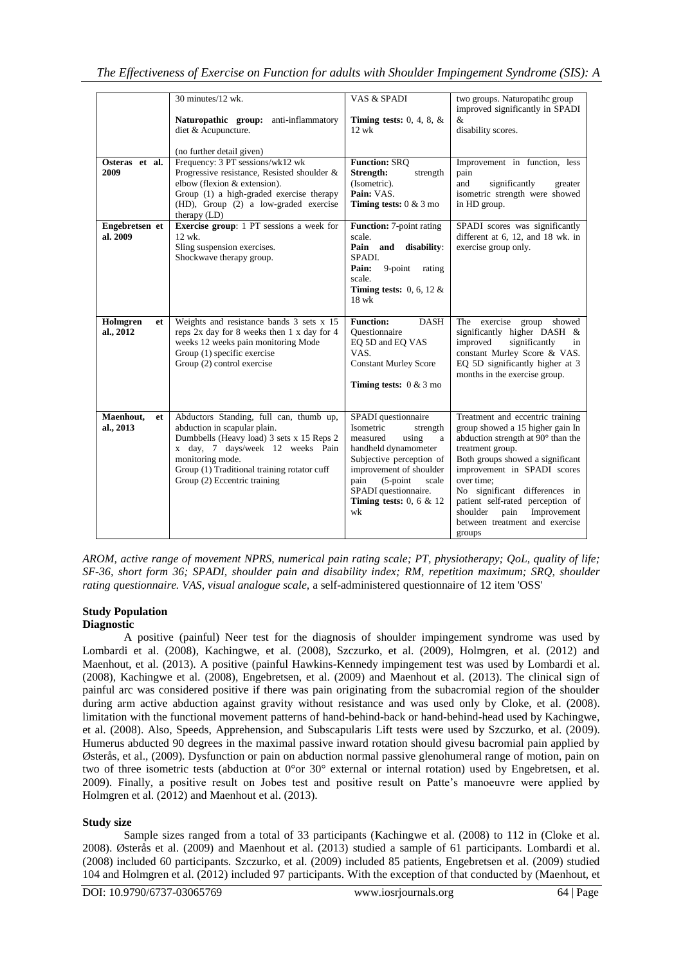|                              | 30 minutes/12 wk.                                                                                                                                                                                                                                           | VAS & SPADI                                                                                                                                                                                                                                       | two groups. Naturopatihc group                                                                                                                                                                                                                                                                                                                                      |
|------------------------------|-------------------------------------------------------------------------------------------------------------------------------------------------------------------------------------------------------------------------------------------------------------|---------------------------------------------------------------------------------------------------------------------------------------------------------------------------------------------------------------------------------------------------|---------------------------------------------------------------------------------------------------------------------------------------------------------------------------------------------------------------------------------------------------------------------------------------------------------------------------------------------------------------------|
|                              | anti-inflammatory<br>Naturopathic group:<br>diet & Acupuncture.                                                                                                                                                                                             | Timing tests: $0, 4, 8, \&$<br>$12 \text{ wk}$                                                                                                                                                                                                    | improved significantly in SPADI<br>&<br>disability scores.                                                                                                                                                                                                                                                                                                          |
|                              | (no further detail given)                                                                                                                                                                                                                                   |                                                                                                                                                                                                                                                   |                                                                                                                                                                                                                                                                                                                                                                     |
| Osteras et al.<br>2009       | Frequency: 3 PT sessions/wk12 wk<br>Progressive resistance, Resisted shoulder &<br>elbow (flexion & extension).<br>Group (1) a high-graded exercise therapy<br>(HD), Group (2) a low-graded exercise<br>therapy $(LD)$                                      | <b>Function: SRQ</b><br>Strength:<br>strength<br>(Isometric).<br>Pain: VAS.<br><b>Timing tests:</b> $0 & 3 \text{ mo}$                                                                                                                            | Improvement in function, less<br>pain<br>significantly<br>and<br>greater<br>isometric strength were showed<br>in HD group.                                                                                                                                                                                                                                          |
| Engebretsen et<br>al. 2009   | <b>Exercise group:</b> 1 PT sessions a week for<br>12 wk.<br>Sling suspension exercises.<br>Shockwave therapy group.                                                                                                                                        | <b>Function:</b> 7-point rating<br>scale.<br>Pain and<br>disability:<br>SPADI.<br>$9$ -point<br>Pain:<br>rating<br>scale.<br>Timing tests: $0, 6, 12 \&$<br>18 wk                                                                                 | SPADI scores was significantly<br>different at 6, 12, and 18 wk. in<br>exercise group only.                                                                                                                                                                                                                                                                         |
| Holmgren<br>et<br>al., 2012  | Weights and resistance bands 3 sets x 15<br>reps 2x day for 8 weeks then 1 x day for 4<br>weeks 12 weeks pain monitoring Mode<br>Group (1) specific exercise<br>Group (2) control exercise                                                                  | <b>Function:</b><br><b>DASH</b><br>Ouestionnaire<br>EQ 5D and EQ VAS<br>VAS.<br><b>Constant Murley Score</b><br><b>Timing tests:</b> $0 < 3$ mo                                                                                                   | exercise<br>showed<br>The<br>group<br>significantly higher DASH &<br>improved<br>significantly<br>in<br>constant Murley Score & VAS.<br>EQ 5D significantly higher at 3<br>months in the exercise group.                                                                                                                                                            |
| Maenhout,<br>et<br>al., 2013 | Abductors Standing, full can, thumb up,<br>abduction in scapular plain.<br>Dumbbells (Heavy load) 3 sets x 15 Reps 2<br>x day, 7 days/week 12 weeks Pain<br>monitoring mode.<br>Group (1) Traditional training rotator cuff<br>Group (2) Eccentric training | SPADI questionnaire<br>Isometric<br>strength<br>measured<br>using<br>a<br>handheld dynamometer<br>Subjective perception of<br>improvement of shoulder<br>$(5$ -point<br>pain<br>scale<br>SPADI questionnaire.<br>Timing tests: $0, 6 \& 12$<br>wk | Treatment and eccentric training<br>group showed a 15 higher gain In<br>abduction strength at 90° than the<br>treatment group.<br>Both groups showed a significant<br>improvement in SPADI scores<br>over time:<br>No significant differences in<br>patient self-rated perception of<br>shoulder<br>Improvement<br>pain<br>between treatment and exercise<br>groups |

*AROM, active range of movement NPRS, numerical pain rating scale; PT, physiotherapy; QoL, quality of life; SF-36, short form 36; SPADI, shoulder pain and disability index; RM, repetition maximum; SRQ, shoulder rating questionnaire. VAS, visual analogue scale,* a self-administered questionnaire of 12 item 'OSS'

#### **Study Population Diagnostic**

A positive (painful) Neer test for the diagnosis of shoulder impingement syndrome was used by Lombardi et al. (2008), Kachingwe, et al. (2008), Szczurko, et al. (2009), Holmgren, et al. (2012) and Maenhout, et al. (2013). A positive (painful Hawkins-Kennedy impingement test was used by Lombardi et al. (2008), Kachingwe et al. (2008), Engebretsen, et al. (2009) and Maenhout et al. (2013). The clinical sign of painful arc was considered positive if there was pain originating from the subacromial region of the shoulder during arm active abduction against gravity without resistance and was used only by Cloke, et al. (2008). limitation with the functional movement patterns of hand-behind-back or hand-behind-head used by Kachingwe, et al. (2008). Also, Speeds, Apprehension, and Subscapularis Lift tests were used by Szczurko, et al. (2009). Humerus abducted 90 degrees in the maximal passive inward rotation should givesu bacromial pain applied by Østerås, et al., (2009). Dysfunction or pain on abduction normal passive glenohumeral range of motion, pain on two of three isometric tests (abduction at 0°or 30° external or internal rotation) used by Engebretsen, et al. 2009). Finally, a positive result on Jobes test and positive result on Patte"s manoeuvre were applied by Holmgren et al. (2012) and Maenhout et al. (2013).

# **Study size**

Sample sizes ranged from a total of 33 participants (Kachingwe et al. (2008) to 112 in (Cloke et al. 2008). Østerås et al. (2009) and Maenhout et al. (2013) studied a sample of 61 participants. Lombardi et al. (2008) included 60 participants. Szczurko, et al. (2009) included 85 patients, Engebretsen et al. (2009) studied 104 and Holmgren et al. (2012) included 97 participants. With the exception of that conducted by (Maenhout, et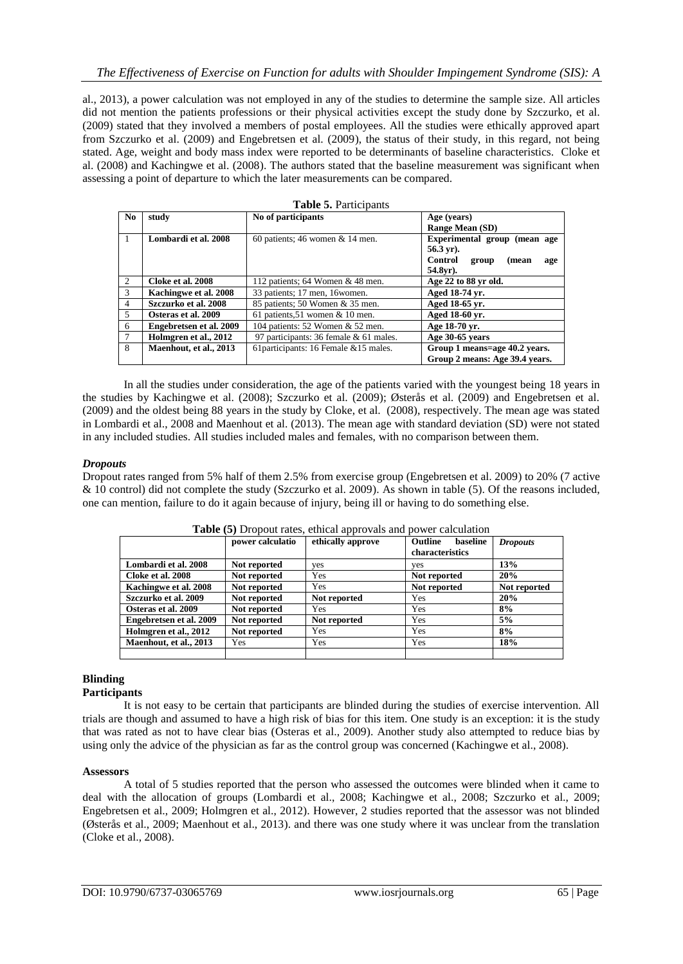al., 2013), a power calculation was not employed in any of the studies to determine the sample size. All articles did not mention the patients professions or their physical activities except the study done by Szczurko, et al. (2009) stated that they involved a members of postal employees. All the studies were ethically approved apart from Szczurko et al. (2009) and Engebretsen et al. (2009), the status of their study, in this regard, not being stated. Age, weight and body mass index were reported to be determinants of baseline characteristics. Cloke et al. (2008) and Kachingwe et al. (2008). The authors stated that the baseline measurement was significant when assessing a point of departure to which the later measurements can be compared.

| N <sub>0</sub>  | study                   | No of participants                     | Age (years)                             |  |  |
|-----------------|-------------------------|----------------------------------------|-----------------------------------------|--|--|
|                 |                         |                                        | <b>Range Mean (SD)</b>                  |  |  |
| $\overline{1}$  | Lombardi et al. 2008    | 60 patients; 46 women $& 14$ men.      | Experimental group (mean age            |  |  |
|                 |                         |                                        | $56.3 \,\text{yr}$ ).                   |  |  |
|                 |                         |                                        | <b>Control</b><br>(mean<br>group<br>age |  |  |
|                 |                         |                                        | $54.8yr$ ).                             |  |  |
| 2               | Cloke et al. 2008       | 112 patients; 64 Women & 48 men.       | Age 22 to 88 yr old.                    |  |  |
| $\mathcal{E}$   | Kachingwe et al. 2008   | 33 patients; 17 men, 16 women.         | Aged 18-74 vr.                          |  |  |
| $\overline{4}$  | Szczurko et al. 2008    | 85 patients; 50 Women & 35 men.        | Aged 18-65 vr.                          |  |  |
| 5               | Osteras et al. 2009     | 61 patients, $51$ women & 10 men.      | Aged 18-60 yr.                          |  |  |
| 6               | Engebretsen et al. 2009 | 104 patients: 52 Women & 52 men.       | Age 18-70 yr.                           |  |  |
| $7\phantom{.0}$ | Holmgren et al., 2012   | 97 participants: 36 female & 61 males. | Age 30-65 years                         |  |  |
| 8               | Maenhout, et al., 2013  | 61 participants: 16 Female & 15 males. | Group 1 means=age 40.2 years.           |  |  |
|                 |                         |                                        | Group 2 means: Age 39.4 years.          |  |  |

**Table 5.** Participants

In all the studies under consideration, the age of the patients varied with the youngest being 18 years in the studies by Kachingwe et al. (2008); Szczurko et al. (2009); Østerås et al. (2009) and Engebretsen et al. (2009) and the oldest being 88 years in the study by Cloke, et al. (2008), respectively. The mean age was stated in Lombardi et al., 2008 and Maenhout et al. (2013). The mean age with standard deviation (SD) were not stated in any included studies. All studies included males and females, with no comparison between them.

## *Dropouts*

Dropout rates ranged from 5% half of them 2.5% from exercise group (Engebretsen et al. 2009) to 20% (7 active & 10 control) did not complete the study (Szczurko et al. 2009). As shown in table (5). Of the reasons included, one can mention, failure to do it again because of injury, being ill or having to do something else.

| <b>Table</b> (3) Dropout rates, cullear approvais and power calculation |                  |                   |                                        |                 |  |  |
|-------------------------------------------------------------------------|------------------|-------------------|----------------------------------------|-----------------|--|--|
|                                                                         | power calculatio | ethically approve | Outline<br>baseline<br>characteristics | <b>Dropouts</b> |  |  |
| Lombardi et al. 2008                                                    | Not reported     | ves               | ves                                    | 13%             |  |  |
| Cloke et al. 2008                                                       | Not reported     | Yes               | Not reported                           | 20%             |  |  |
| Kachingwe et al. 2008                                                   | Not reported     | Yes               | Not reported                           | Not reported    |  |  |
| Szczurko et al. 2009                                                    | Not reported     | Not reported      | Yes                                    | 20%             |  |  |
| Osteras et al. 2009                                                     | Not reported     | Yes               | Yes                                    | 8%              |  |  |
| Engebretsen et al. 2009                                                 | Not reported     | Not reported      | Yes                                    | 5%              |  |  |
| Holmgren et al., 2012                                                   | Not reported     | Yes               | Yes                                    | 8%              |  |  |
| Maenhout, et al., 2013                                                  | Yes              | Yes               | Yes                                    | 18%             |  |  |
|                                                                         |                  |                   |                                        |                 |  |  |

**Table (5)** Dropout rates, ethical approvals and power calculation

#### **Blinding Participants**

It is not easy to be certain that participants are blinded during the studies of exercise intervention. All trials are though and assumed to have a high risk of bias for this item. One study is an exception: it is the study that was rated as not to have clear bias (Osteras et al., 2009). Another study also attempted to reduce bias by using only the advice of the physician as far as the control group was concerned (Kachingwe et al., 2008).

## **Assessors**

A total of 5 studies reported that the person who assessed the outcomes were blinded when it came to deal with the allocation of groups (Lombardi et al., 2008; Kachingwe et al., 2008; Szczurko et al., 2009; Engebretsen et al., 2009; Holmgren et al., 2012). However, 2 studies reported that the assessor was not blinded (Østerås et al., 2009; Maenhout et al., 2013). and there was one study where it was unclear from the translation (Cloke et al., 2008).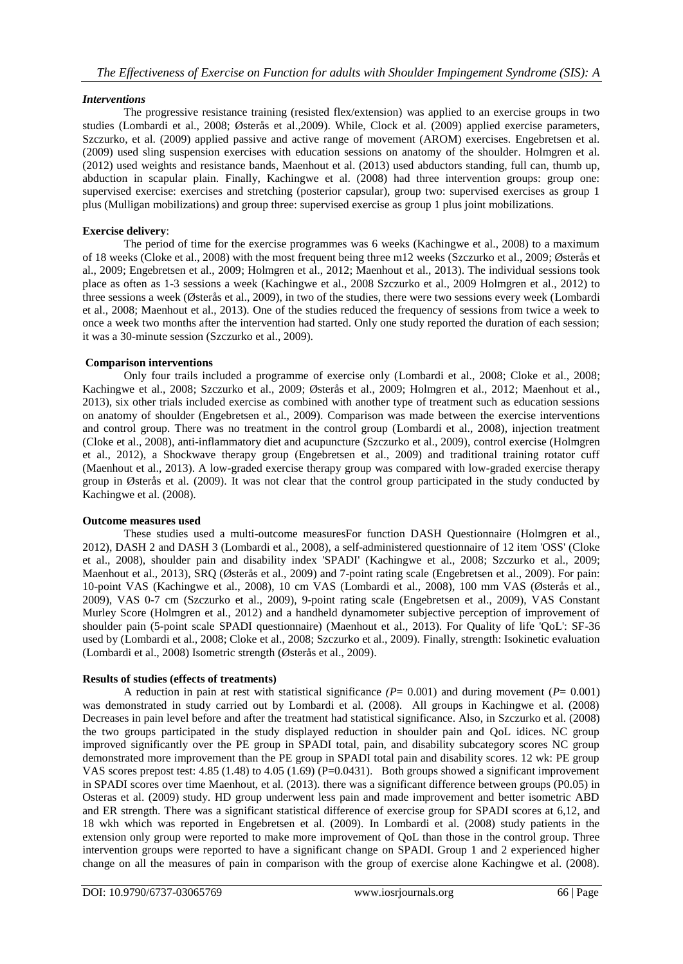## *Interventions*

The progressive resistance training (resisted flex/extension) was applied to an exercise groups in two studies (Lombardi et al., 2008; Østerås et al.,2009). While, Clock et al. (2009) applied exercise parameters, Szczurko, et al. (2009) applied passive and active range of movement (AROM) exercises. Engebretsen et al. (2009) used sling suspension exercises with education sessions on anatomy of the shoulder. Holmgren et al. (2012) used weights and resistance bands, Maenhout et al. (2013) used abductors standing, full can, thumb up, abduction in scapular plain. Finally, Kachingwe et al. (2008) had three intervention groups: group one: supervised exercise: exercises and stretching (posterior capsular), group two: supervised exercises as group 1 plus (Mulligan mobilizations) and group three: supervised exercise as group 1 plus joint mobilizations.

## **Exercise delivery**:

The period of time for the exercise programmes was 6 weeks (Kachingwe et al., 2008) to a maximum of 18 weeks (Cloke et al., 2008) with the most frequent being three m12 weeks (Szczurko et al., 2009; Østerås et al., 2009; Engebretsen et al., 2009; Holmgren et al., 2012; Maenhout et al., 2013). The individual sessions took place as often as 1-3 sessions a week (Kachingwe et al., 2008 Szczurko et al., 2009 Holmgren et al., 2012) to three sessions a week (Østerås et al., 2009), in two of the studies, there were two sessions every week (Lombardi et al., 2008; Maenhout et al., 2013). One of the studies reduced the frequency of sessions from twice a week to once a week two months after the intervention had started. Only one study reported the duration of each session; it was a 30-minute session (Szczurko et al., 2009).

## **Comparison interventions**

Only four trails included a programme of exercise only (Lombardi et al., 2008; Cloke et al., 2008; Kachingwe et al., 2008; Szczurko et al., 2009; Østerås et al., 2009; Holmgren et al., 2012; Maenhout et al., 2013), six other trials included exercise as combined with another type of treatment such as education sessions on anatomy of shoulder (Engebretsen et al., 2009). Comparison was made between the exercise interventions and control group. There was no treatment in the control group (Lombardi et al., 2008), injection treatment (Cloke et al., 2008), anti-inflammatory diet and acupuncture (Szczurko et al., 2009), control exercise (Holmgren et al., 2012), a Shockwave therapy group (Engebretsen et al., 2009) and traditional training rotator cuff (Maenhout et al., 2013). A low-graded exercise therapy group was compared with low-graded exercise therapy group in Østerås et al. (2009). It was not clear that the control group participated in the study conducted by Kachingwe et al. (2008).

## **Outcome measures used**

These studies used a multi-outcome measuresFor function DASH Questionnaire (Holmgren et al., 2012), DASH 2 and DASH 3 (Lombardi et al., 2008), a self-administered questionnaire of 12 item 'OSS' (Cloke et al., 2008), shoulder pain and disability index 'SPADI' (Kachingwe et al., 2008; Szczurko et al., 2009; Maenhout et al., 2013), SRQ (Østerås et al., 2009) and 7-point rating scale (Engebretsen et al., 2009). For pain: 10-point VAS (Kachingwe et al., 2008), 10 cm VAS (Lombardi et al., 2008), 100 mm VAS (Østerås et al., 2009), VAS 0-7 cm (Szczurko et al., 2009), 9-point rating scale (Engebretsen et al., 2009), VAS Constant Murley Score (Holmgren et al., 2012) and a handheld dynamometer subjective perception of improvement of shoulder pain (5-point scale SPADI questionnaire) (Maenhout et al., 2013). For Quality of life 'QoL': SF-36 used by (Lombardi et al., 2008; Cloke et al., 2008; Szczurko et al., 2009). Finally, strength: Isokinetic evaluation (Lombardi et al., 2008) Isometric strength (Østerås et al., 2009).

## **Results of studies (effects of treatments)**

A reduction in pain at rest with statistical significance  $(P= 0.001)$  and during movement  $(P= 0.001)$ was demonstrated in study carried out by Lombardi et al. (2008). All groups in Kachingwe et al. (2008) Decreases in pain level before and after the treatment had statistical significance. Also, in Szczurko et al. (2008) the two groups participated in the study displayed reduction in shoulder pain and QoL idices. NC group improved significantly over the PE group in SPADI total, pain, and disability subcategory scores NC group demonstrated more improvement than the PE group in SPADI total pain and disability scores. 12 wk: PE group VAS scores prepost test:  $4.85$  (1.48) to  $4.05$  (1.69) (P=0.0431). Both groups showed a significant improvement in SPADI scores over time Maenhout, et al. (2013). there was a significant difference between groups (P0.05) in Osteras et al. (2009) study. HD group underwent less pain and made improvement and better isometric ABD and ER strength. There was a significant statistical difference of exercise group for SPADI scores at 6,12, and 18 wkh which was reported in Engebretsen et al. (2009). In Lombardi et al. (2008) study patients in the extension only group were reported to make more improvement of QoL than those in the control group. Three intervention groups were reported to have a significant change on SPADI. Group 1 and 2 experienced higher change on all the measures of pain in comparison with the group of exercise alone Kachingwe et al. (2008).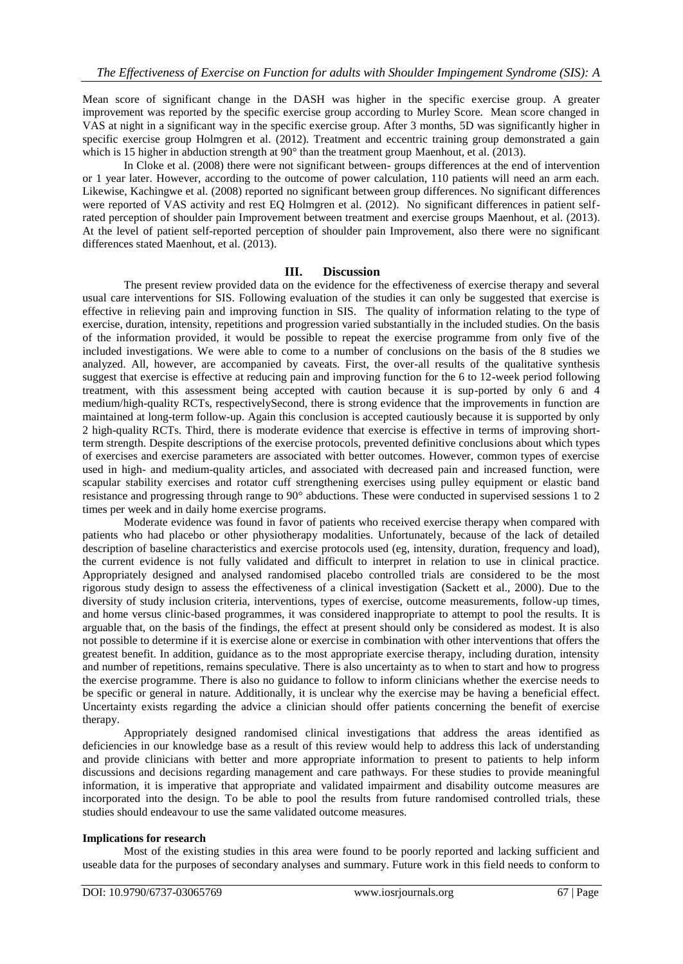Mean score of significant change in the DASH was higher in the specific exercise group. A greater improvement was reported by the specific exercise group according to Murley Score. Mean score changed in VAS at night in a significant way in the specific exercise group. After 3 months, 5D was significantly higher in specific exercise group Holmgren et al. (2012). Treatment and eccentric training group demonstrated a gain which is 15 higher in abduction strength at 90° than the treatment group Maenhout, et al. (2013).

In Cloke et al. (2008) there were not significant between- groups differences at the end of intervention or 1 year later. However, according to the outcome of power calculation, 110 patients will need an arm each. Likewise, Kachingwe et al. (2008) reported no significant between group differences. No significant differences were reported of VAS activity and rest EQ Holmgren et al. (2012). No significant differences in patient selfrated perception of shoulder pain Improvement between treatment and exercise groups Maenhout, et al. (2013). At the level of patient self-reported perception of shoulder pain Improvement, also there were no significant differences stated Maenhout, et al. (2013).

## **III. Discussion**

The present review provided data on the evidence for the effectiveness of exercise therapy and several usual care interventions for SIS. Following evaluation of the studies it can only be suggested that exercise is effective in relieving pain and improving function in SIS. The quality of information relating to the type of exercise, duration, intensity, repetitions and progression varied substantially in the included studies. On the basis of the information provided, it would be possible to repeat the exercise programme from only five of the included investigations. We were able to come to a number of conclusions on the basis of the 8 studies we analyzed. All, however, are accompanied by caveats. First, the over-all results of the qualitative synthesis suggest that exercise is effective at reducing pain and improving function for the 6 to 12-week period following treatment, with this assessment being accepted with caution because it is sup-ported by only 6 and 4 medium/high-quality RCTs, respectivelySecond, there is strong evidence that the improvements in function are maintained at long-term follow-up. Again this conclusion is accepted cautiously because it is supported by only 2 high-quality RCTs. Third, there is moderate evidence that exercise is effective in terms of improving shortterm strength. Despite descriptions of the exercise protocols, prevented definitive conclusions about which types of exercises and exercise parameters are associated with better outcomes. However, common types of exercise used in high- and medium-quality articles, and associated with decreased pain and increased function, were scapular stability exercises and rotator cuff strengthening exercises using pulley equipment or elastic band resistance and progressing through range to 90° abductions. These were conducted in supervised sessions 1 to 2 times per week and in daily home exercise programs.

Moderate evidence was found in favor of patients who received exercise therapy when compared with patients who had placebo or other physiotherapy modalities. Unfortunately, because of the lack of detailed description of baseline characteristics and exercise protocols used (eg, intensity, duration, frequency and load), the current evidence is not fully validated and difficult to interpret in relation to use in clinical practice. Appropriately designed and analysed randomised placebo controlled trials are considered to be the most rigorous study design to assess the effectiveness of a clinical investigation (Sackett et al., 2000). Due to the diversity of study inclusion criteria, interventions, types of exercise, outcome measurements, follow-up times, and home versus clinic-based programmes, it was considered inappropriate to attempt to pool the results. It is arguable that, on the basis of the findings, the effect at present should only be considered as modest. It is also not possible to determine if it is exercise alone or exercise in combination with other interventions that offers the greatest benefit. In addition, guidance as to the most appropriate exercise therapy, including duration, intensity and number of repetitions, remains speculative. There is also uncertainty as to when to start and how to progress the exercise programme. There is also no guidance to follow to inform clinicians whether the exercise needs to be specific or general in nature. Additionally, it is unclear why the exercise may be having a beneficial effect. Uncertainty exists regarding the advice a clinician should offer patients concerning the benefit of exercise therapy.

Appropriately designed randomised clinical investigations that address the areas identified as deficiencies in our knowledge base as a result of this review would help to address this lack of understanding and provide clinicians with better and more appropriate information to present to patients to help inform discussions and decisions regarding management and care pathways. For these studies to provide meaningful information, it is imperative that appropriate and validated impairment and disability outcome measures are incorporated into the design. To be able to pool the results from future randomised controlled trials, these studies should endeavour to use the same validated outcome measures.

#### **Implications for research**

Most of the existing studies in this area were found to be poorly reported and lacking sufficient and useable data for the purposes of secondary analyses and summary. Future work in this field needs to conform to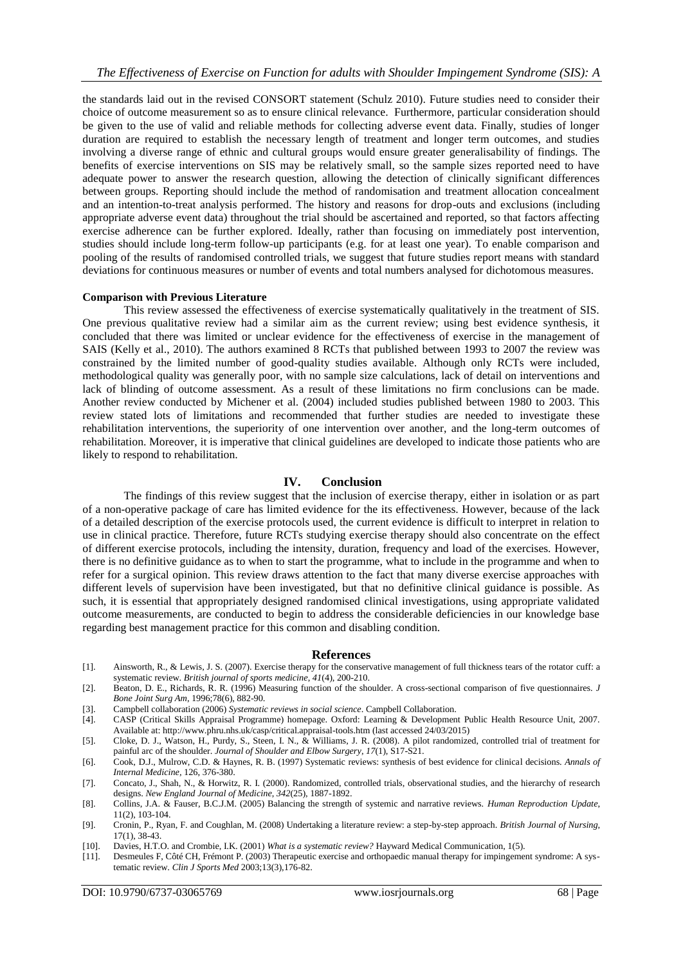the standards laid out in the revised CONSORT statement (Schulz 2010). Future studies need to consider their choice of outcome measurement so as to ensure clinical relevance. Furthermore, particular consideration should be given to the use of valid and reliable methods for collecting adverse event data. Finally, studies of longer duration are required to establish the necessary length of treatment and longer term outcomes, and studies involving a diverse range of ethnic and cultural groups would ensure greater generalisability of findings. The benefits of exercise interventions on SIS may be relatively small, so the sample sizes reported need to have adequate power to answer the research question, allowing the detection of clinically significant differences between groups. Reporting should include the method of randomisation and treatment allocation concealment and an intention-to-treat analysis performed. The history and reasons for drop-outs and exclusions (including appropriate adverse event data) throughout the trial should be ascertained and reported, so that factors affecting exercise adherence can be further explored. Ideally, rather than focusing on immediately post intervention, studies should include long-term follow-up participants (e.g. for at least one year). To enable comparison and pooling of the results of randomised controlled trials, we suggest that future studies report means with standard deviations for continuous measures or number of events and total numbers analysed for dichotomous measures.

#### **Comparison with Previous Literature**

This review assessed the effectiveness of exercise systematically qualitatively in the treatment of SIS. One previous qualitative review had a similar aim as the current review; using best evidence synthesis, it concluded that there was limited or unclear evidence for the effectiveness of exercise in the management of SAIS (Kelly et al., 2010). The authors examined 8 RCTs that published between 1993 to 2007 the review was constrained by the limited number of good-quality studies available. Although only RCTs were included, methodological quality was generally poor, with no sample size calculations, lack of detail on interventions and lack of blinding of outcome assessment. As a result of these limitations no firm conclusions can be made. Another review conducted by Michener et al. (2004) included studies published between 1980 to 2003. This review stated lots of limitations and recommended that further studies are needed to investigate these rehabilitation interventions, the superiority of one intervention over another, and the long-term outcomes of rehabilitation. Moreover, it is imperative that clinical guidelines are developed to indicate those patients who are likely to respond to rehabilitation.

## **IV. Conclusion**

The findings of this review suggest that the inclusion of exercise therapy, either in isolation or as part of a non-operative package of care has limited evidence for the its effectiveness. However, because of the lack of a detailed description of the exercise protocols used, the current evidence is difficult to interpret in relation to use in clinical practice. Therefore, future RCTs studying exercise therapy should also concentrate on the effect of different exercise protocols, including the intensity, duration, frequency and load of the exercises. However, there is no definitive guidance as to when to start the programme, what to include in the programme and when to refer for a surgical opinion. This review draws attention to the fact that many diverse exercise approaches with different levels of supervision have been investigated, but that no definitive clinical guidance is possible. As such, it is essential that appropriately designed randomised clinical investigations, using appropriate validated outcome measurements, are conducted to begin to address the considerable deficiencies in our knowledge base regarding best management practice for this common and disabling condition.

#### **References**

- [1]. Ainsworth, R., & Lewis, J. S. (2007). Exercise therapy for the conservative management of full thickness tears of the rotator cuff: a systematic review. *British journal of sports medicine*, *41*(4), 200-210.
- [2]. Beaton, D. E., Richards, R. R. (1996) Measuring function of the shoulder. A cross-sectional comparison of five questionnaires. *J Bone Joint Surg Am*, 1996;78(6), 882-90.
- [3]. Campbell collaboration (2006) *Systematic reviews in social science*. Campbell Collaboration.
- [4]. CASP (Critical Skills Appraisal Programme) homepage. Oxford: Learning & Development Public Health Resource Unit, 2007. Available at: http://www.phru.nhs.uk/casp/critical.appraisal-tools.htm (last accessed 24/03/2015)
- [5]. Cloke, D. J., Watson, H., Purdy, S., Steen, I. N., & Williams, J. R. (2008). A pilot randomized, controlled trial of treatment for painful arc of the shoulder. *Journal of Shoulder and Elbow Surgery*, *17*(1), S17-S21.
- [6]. Cook, D.J., Mulrow, C.D. & Haynes, R. B. (1997) Systematic reviews: synthesis of best evidence for clinical decisions. *Annals of Internal Medicine,* 126, 376-380.
- [7]. Concato, J., Shah, N., & Horwitz, R. I. (2000). Randomized, controlled trials, observational studies, and the hierarchy of research designs. *New England Journal of Medicine*, *342*(25), 1887-1892.
- [8]. Collins, J.A. & Fauser, B.C.J.M. (2005) Balancing the strength of systemic and narrative reviews. *Human Reproduction Update*, 11(2), 103-104.
- [9]. Cronin, P., Ryan, F. and Coughlan, M. (2008) Undertaking a literature review: a step-by-step approach. *British Journal of Nursing*, 17(1), 38-43.
- [10]. Davies, H.T.O. and Crombie, I.K. (2001) *What is a systematic review?* Hayward Medical Communication, 1(5).
- [11]. Desmeules F, Côté CH, Frémont P. (2003) Therapeutic exercise and orthopaedic manual therapy for impingement syndrome: A systematic review. *Clin J Sports Med* 2003;13(3),176-82.